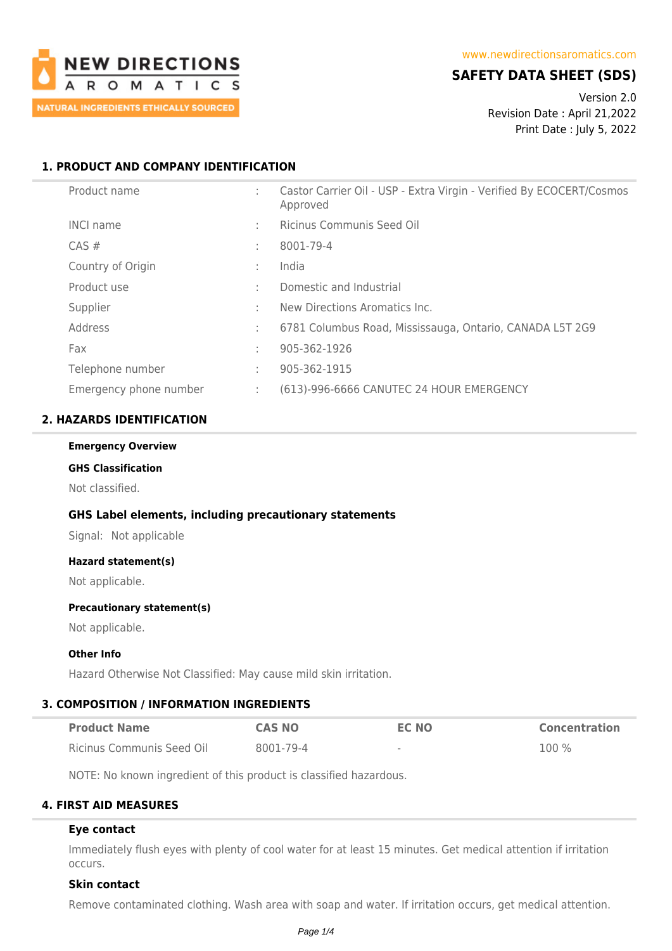

# **SAFETY DATA SHEET (SDS)**

Version 2.0 Revision Date : April 21,2022 Print Date : July 5, 2022

# **1. PRODUCT AND COMPANY IDENTIFICATION**

| Product name           | ÷  | Castor Carrier Oil - USP - Extra Virgin - Verified By ECOCERT/Cosmos<br>Approved |
|------------------------|----|----------------------------------------------------------------------------------|
| <b>INCI name</b>       | ÷. | Ricinus Communis Seed Oil                                                        |
| $CAS \#$               | ÷  | 8001-79-4                                                                        |
| Country of Origin      | ÷  | India                                                                            |
| Product use            | ÷  | Domestic and Industrial                                                          |
| Supplier               | ÷  | New Directions Aromatics Inc.                                                    |
| Address                | ÷  | 6781 Columbus Road, Mississauga, Ontario, CANADA L5T 2G9                         |
| Fax                    | ÷  | 905-362-1926                                                                     |
| Telephone number       | ÷  | 905-362-1915                                                                     |
| Emergency phone number | ÷  | (613)-996-6666 CANUTEC 24 HOUR EMERGENCY                                         |

### **2. HAZARDS IDENTIFICATION**

#### **Emergency Overview**

# **GHS Classification**

Not classified.

### **GHS Label elements, including precautionary statements**

Signal: Not applicable

# **Hazard statement(s)**

Not applicable.

### **Precautionary statement(s)**

Not applicable.

### **Other Info**

Hazard Otherwise Not Classified: May cause mild skin irritation.

### **3. COMPOSITION / INFORMATION INGREDIENTS**

| <b>Product Name</b>       | <b>CAS NO</b> | EC NO                    | <b>Concentration</b> |
|---------------------------|---------------|--------------------------|----------------------|
| Ricinus Communis Seed Oil | 8001-79-4     | $\overline{\phantom{a}}$ | $100\%$              |

NOTE: No known ingredient of this product is classified hazardous.

### **4. FIRST AID MEASURES**

### **Eye contact**

Immediately flush eyes with plenty of cool water for at least 15 minutes. Get medical attention if irritation occurs.

### **Skin contact**

Remove contaminated clothing. Wash area with soap and water. If irritation occurs, get medical attention.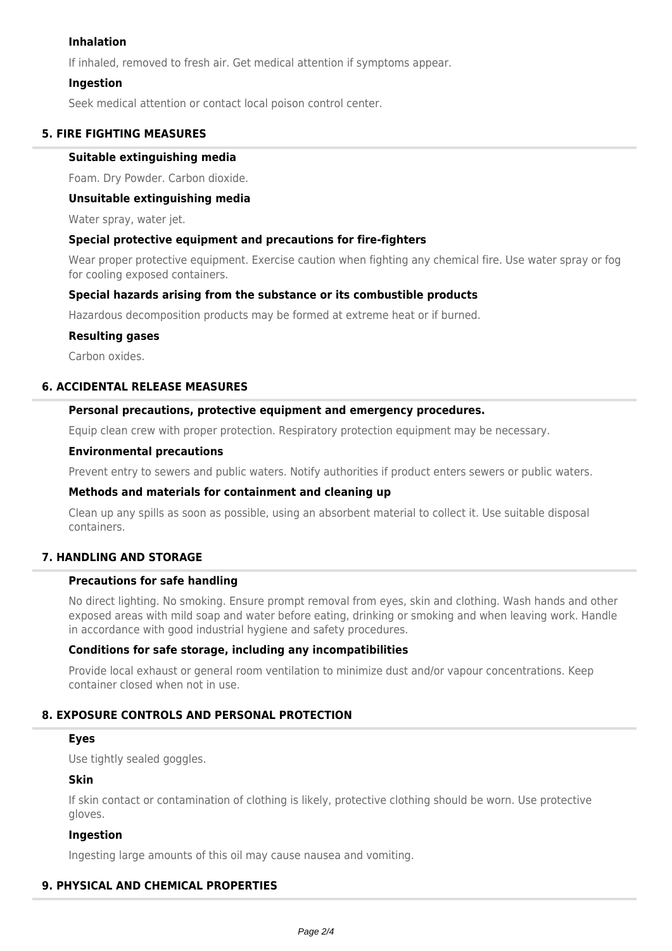# **Inhalation**

If inhaled, removed to fresh air. Get medical attention if symptoms appear.

# **Ingestion**

Seek medical attention or contact local poison control center.

# **5. FIRE FIGHTING MEASURES**

### **Suitable extinguishing media**

Foam. Dry Powder. Carbon dioxide.

### **Unsuitable extinguishing media**

Water spray, water jet.

### **Special protective equipment and precautions for fire-fighters**

Wear proper protective equipment. Exercise caution when fighting any chemical fire. Use water spray or fog for cooling exposed containers.

# **Special hazards arising from the substance or its combustible products**

Hazardous decomposition products may be formed at extreme heat or if burned.

### **Resulting gases**

Carbon oxides.

# **6. ACCIDENTAL RELEASE MEASURES**

### **Personal precautions, protective equipment and emergency procedures.**

Equip clean crew with proper protection. Respiratory protection equipment may be necessary.

#### **Environmental precautions**

Prevent entry to sewers and public waters. Notify authorities if product enters sewers or public waters.

## **Methods and materials for containment and cleaning up**

Clean up any spills as soon as possible, using an absorbent material to collect it. Use suitable disposal containers.

# **7. HANDLING AND STORAGE**

# **Precautions for safe handling**

No direct lighting. No smoking. Ensure prompt removal from eyes, skin and clothing. Wash hands and other exposed areas with mild soap and water before eating, drinking or smoking and when leaving work. Handle in accordance with good industrial hygiene and safety procedures.

# **Conditions for safe storage, including any incompatibilities**

Provide local exhaust or general room ventilation to minimize dust and/or vapour concentrations. Keep container closed when not in use.

# **8. EXPOSURE CONTROLS AND PERSONAL PROTECTION**

# **Eyes**

Use tightly sealed goggles.

# **Skin**

If skin contact or contamination of clothing is likely, protective clothing should be worn. Use protective gloves.

# **Ingestion**

Ingesting large amounts of this oil may cause nausea and vomiting.

### **9. PHYSICAL AND CHEMICAL PROPERTIES**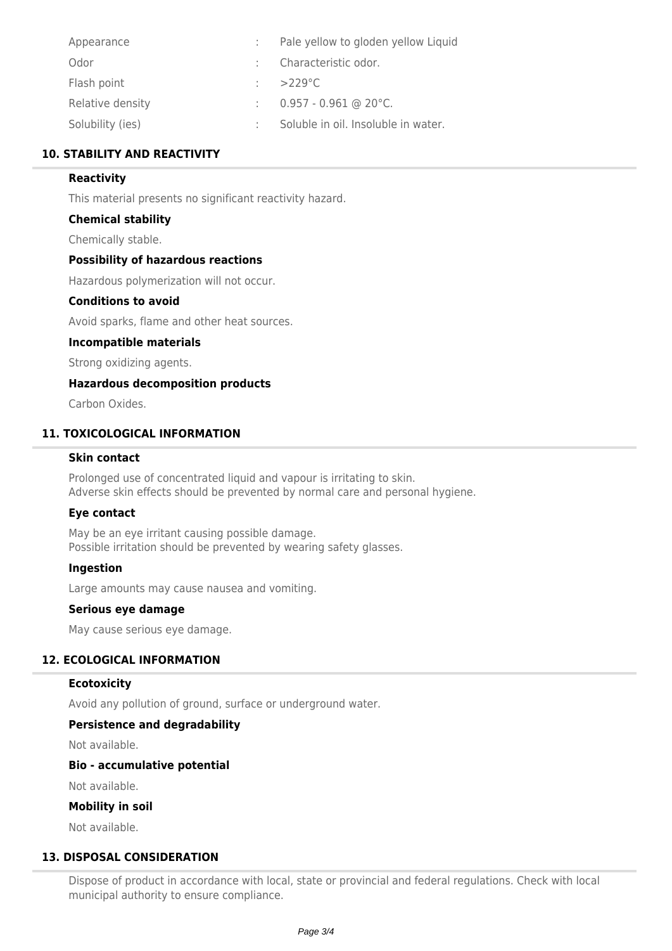| Pale yellow to gloden yellow Liquid |
|-------------------------------------|
| : Characteristic odor.              |
| $\therefore$ >229 °C                |
| $0.957 - 0.961$ @ 20°C.             |
| Soluble in oil. Insoluble in water. |
|                                     |

# **10. STABILITY AND REACTIVITY**

# **Reactivity**

This material presents no significant reactivity hazard.

# **Chemical stability**

Chemically stable.

# **Possibility of hazardous reactions**

Hazardous polymerization will not occur.

### **Conditions to avoid**

Avoid sparks, flame and other heat sources.

### **Incompatible materials**

Strong oxidizing agents.

### **Hazardous decomposition products**

Carbon Oxides.

# **11. TOXICOLOGICAL INFORMATION**

# **Skin contact**

Prolonged use of concentrated liquid and vapour is irritating to skin. Adverse skin effects should be prevented by normal care and personal hygiene.

### **Eye contact**

May be an eye irritant causing possible damage. Possible irritation should be prevented by wearing safety glasses.

### **Ingestion**

Large amounts may cause nausea and vomiting.

### **Serious eye damage**

May cause serious eye damage.

### **12. ECOLOGICAL INFORMATION**

### **Ecotoxicity**

Avoid any pollution of ground, surface or underground water.

### **Persistence and degradability**

Not available.

### **Bio - accumulative potential**

Not available.

# **Mobility in soil**

Not available.

### **13. DISPOSAL CONSIDERATION**

Dispose of product in accordance with local, state or provincial and federal regulations. Check with local municipal authority to ensure compliance.